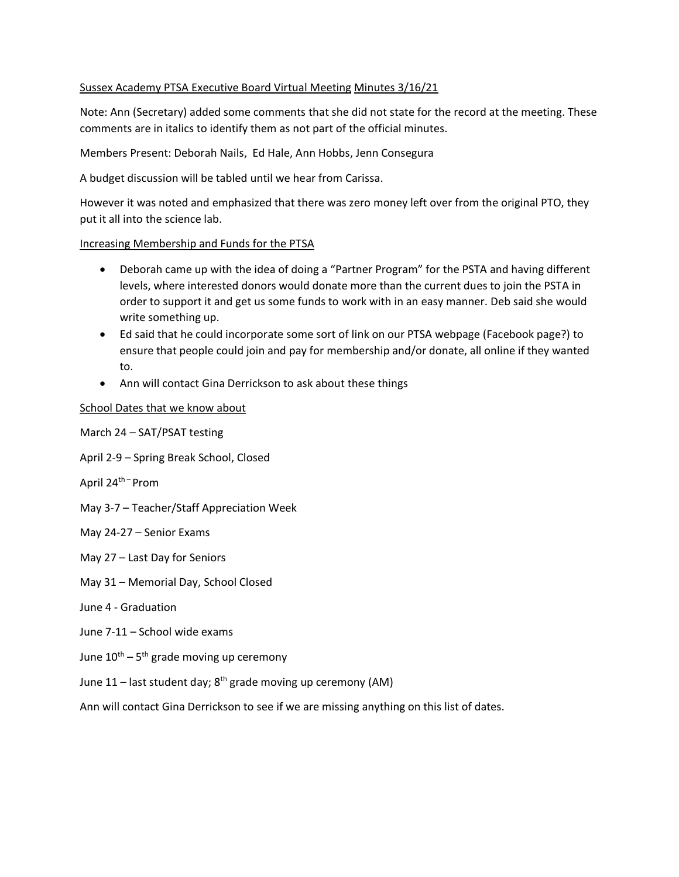## Sussex Academy PTSA Executive Board Virtual Meeting Minutes 3/16/21

Note: Ann (Secretary) added some comments that she did not state for the record at the meeting. These comments are in italics to identify them as not part of the official minutes.

Members Present: Deborah Nails, Ed Hale, Ann Hobbs, Jenn Consegura

A budget discussion will be tabled until we hear from Carissa.

However it was noted and emphasized that there was zero money left over from the original PTO, they put it all into the science lab.

## Increasing Membership and Funds for the PTSA

- Deborah came up with the idea of doing a "Partner Program" for the PSTA and having different levels, where interested donors would donate more than the current dues to join the PSTA in order to support it and get us some funds to work with in an easy manner. Deb said she would write something up.
- Ed said that he could incorporate some sort of link on our PTSA webpage (Facebook page?) to ensure that people could join and pay for membership and/or donate, all online if they wanted to.
- Ann will contact Gina Derrickson to ask about these things

## School Dates that we know about

March 24 – SAT/PSAT testing

- April 2-9 Spring Break School, Closed
- April 24th Prom
- May 3-7 Teacher/Staff Appreciation Week
- May 24-27 Senior Exams
- May 27 Last Day for Seniors
- May 31 Memorial Day, School Closed
- June 4 Graduation
- June 7-11 School wide exams
- June  $10^{th}$  5<sup>th</sup> grade moving up ceremony
- June 11 last student day;  $8^{th}$  grade moving up ceremony (AM)

Ann will contact Gina Derrickson to see if we are missing anything on this list of dates.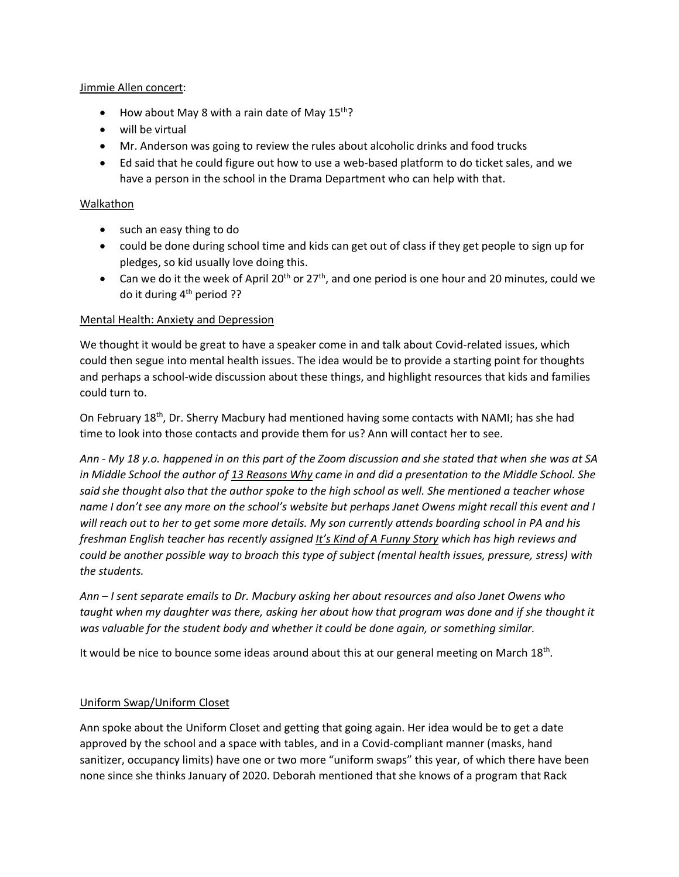### Jimmie Allen concert:

- How about May 8 with a rain date of May  $15^{th}$ ?
- will be virtual
- Mr. Anderson was going to review the rules about alcoholic drinks and food trucks
- Ed said that he could figure out how to use a web-based platform to do ticket sales, and we have a person in the school in the Drama Department who can help with that.

## Walkathon

- such an easy thing to do
- could be done during school time and kids can get out of class if they get people to sign up for pledges, so kid usually love doing this.
- Can we do it the week of April 20<sup>th</sup> or 27<sup>th</sup>, and one period is one hour and 20 minutes, could we do it during 4<sup>th</sup> period ??

## Mental Health: Anxiety and Depression

We thought it would be great to have a speaker come in and talk about Covid-related issues, which could then segue into mental health issues. The idea would be to provide a starting point for thoughts and perhaps a school-wide discussion about these things, and highlight resources that kids and families could turn to.

On February 18<sup>th</sup>, Dr. Sherry Macbury had mentioned having some contacts with NAMI; has she had time to look into those contacts and provide them for us? Ann will contact her to see.

*Ann - My 18 y.o. happened in on this part of the Zoom discussion and she stated that when she was at SA in Middle School the author of 13 Reasons Why came in and did a presentation to the Middle School. She said she thought also that the author spoke to the high school as well. She mentioned a teacher whose name I don't see any more on the school's website but perhaps Janet Owens might recall this event and I will reach out to her to get some more details. My son currently attends boarding school in PA and his freshman English teacher has recently assigned It's Kind of A Funny Story which has high reviews and could be another possible way to broach this type of subject (mental health issues, pressure, stress) with the students.*

*Ann – I sent separate emails to Dr. Macbury asking her about resources and also Janet Owens who taught when my daughter was there, asking her about how that program was done and if she thought it was valuable for the student body and whether it could be done again, or something similar.*

It would be nice to bounce some ideas around about this at our general meeting on March 18<sup>th</sup>.

# Uniform Swap/Uniform Closet

Ann spoke about the Uniform Closet and getting that going again. Her idea would be to get a date approved by the school and a space with tables, and in a Covid-compliant manner (masks, hand sanitizer, occupancy limits) have one or two more "uniform swaps" this year, of which there have been none since she thinks January of 2020. Deborah mentioned that she knows of a program that Rack